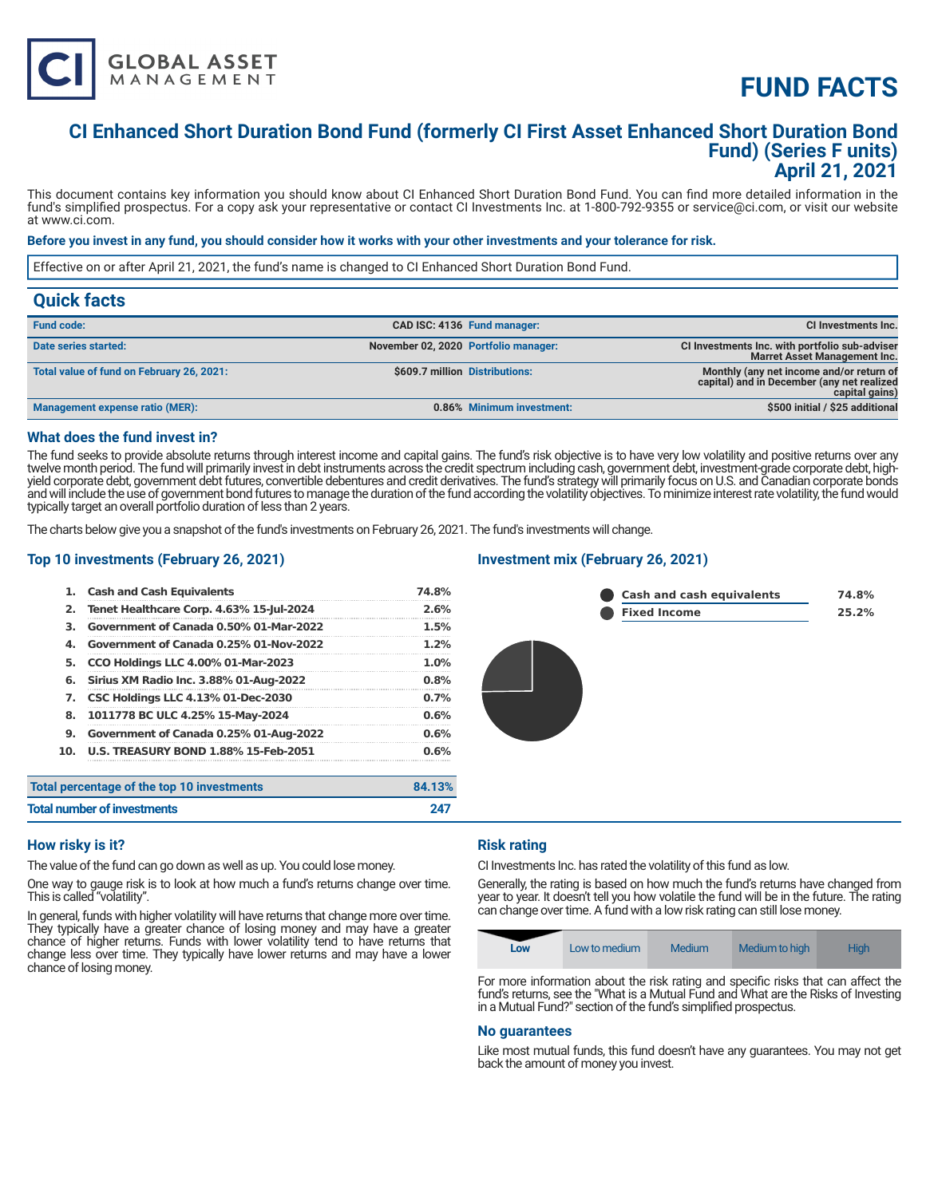# **FUND FACTS**

### **CI Enhanced Short Duration Bond Fund (formerly CI First Asset Enhanced Short Duration Bond Fund) (Series F units) April 21, 2021**

This document contains key information you should know about CI Enhanced Short Duration Bond Fund. You can find more detailed information in the fund's simplified prospectus. For a copy ask your representative or contact CI Investments Inc. at 1-800-792-9355 or service@ci.com, or visit our website at www.ci.com.

#### **Before you invest in any fund, you should consider how it works with your other investments and your tolerance for risk.**

Effective on or after April 21, 2021, the fund's name is changed to CI Enhanced Short Duration Bond Fund.

| <b>Quick facts</b>                        |                                      |                                                                                                          |
|-------------------------------------------|--------------------------------------|----------------------------------------------------------------------------------------------------------|
| <b>Fund code:</b>                         | CAD ISC: 4136 Fund manager:          | <b>CI Investments Inc.</b>                                                                               |
| Date series started:                      | November 02, 2020 Portfolio manager: | CI Investments Inc. with portfolio sub-adviser<br><b>Marret Asset Management Inc.</b>                    |
| Total value of fund on February 26, 2021: | \$609.7 million Distributions:       | Monthly (any net income and/or return of<br>capital) and in December (any net realized<br>capital gains) |
| Management expense ratio (MER):           | 0.86% Minimum investment:            | \$500 initial / \$25 additional                                                                          |

#### **What does the fund invest in?**

The fund seeks to provide absolute returns through interest income and capital gains. The fund's risk objective is to have very low volatility and positive returns over any twelve month period. The fund will primarily invest in debt instruments across the credit spectrum including cash, government debt, investment-grade corporate debt, highyield corporate debt, government debt futures, convertible debentures and credit derivatives. The fund's strategy will primarily focus on U.S. and Canadian corporate bonds and will include the use of government bond futures to manage the duration of the fund according the volatility objectives. To minimize interest rate volatility, the fund would typically target an overall portfolio duration of less than 2 years.

The charts below give you a snapshot of the fund's investments on February 26, 2021. The fund's investments will change.

#### **Top 10 investments (February 26, 2021)**

**GLOBAL ASSET**<br>MANAGEMENT

| 1.  | <b>Cash and Cash Equivalents</b>            | 74.8%   |
|-----|---------------------------------------------|---------|
| 2.  | Tenet Healthcare Corp. 4.63% 15-Jul-2024    | 2.6%    |
| З.  | Government of Canada 0.50% 01-Mar-2022      | 1.5%    |
| 4.  | Government of Canada 0.25% 01-Nov-2022      | $1.2\%$ |
| 5.  | <b>CCO Holdings LLC 4.00% 01-Mar-2023</b>   | $1.0\%$ |
| 6.  | Sirius XM Radio Inc. 3.88% 01-Aug-2022      | 0.8%    |
| 7.  | <b>CSC Holdings LLC 4.13% 01-Dec-2030</b>   | $0.7\%$ |
| 8.  | 1011778 BC ULC 4.25% 15-May-2024            | 0.6%    |
| 9.  | Government of Canada 0.25% 01-Aug-2022      | 0.6%    |
| 10. | <b>U.S. TREASURY BOND 1.88% 15-Feb-2051</b> | 0.6%    |
|     | Total percentage of the top 10 investments  | 84.13%  |
|     | <b>Total number of investments</b>          |         |

### **Investment mix (February 26, 2021)**



#### **How risky is it?**

The value of the fund can go down as well as up. You could lose money.

One way to gauge risk is to look at how much a fund's returns change over time. This is called "volatility".

In general, funds with higher volatility will have returns that change more over time. They typically have a greater chance of losing money and may have a greater chance of higher returns. Funds with lower volatility tend to have returns that change less over time. They typically have lower returns and may have a lower chance of losing money.

#### **Risk rating**

CI Investments Inc. has rated the volatility of this fund as low.

Generally, the rating is based on how much the fund's returns have changed from year to year. It doesn't tell you how volatile the fund will be in the future. The rating can change over time. A fund with a low risk rating can still lose money.

| Low | Low to medium | Medium | Medium to high | <b>High</b> |
|-----|---------------|--------|----------------|-------------|
|     |               |        |                | --          |

For more information about the risk rating and specific risks that can affect the fund's returns, see the "What is a Mutual Fund and What are the Risks of Investing in a Mutual Fund?" section of the fund's simplified prospectus.

#### **No guarantees**

Like most mutual funds, this fund doesn't have any guarantees. You may not get back the amount of money you invest.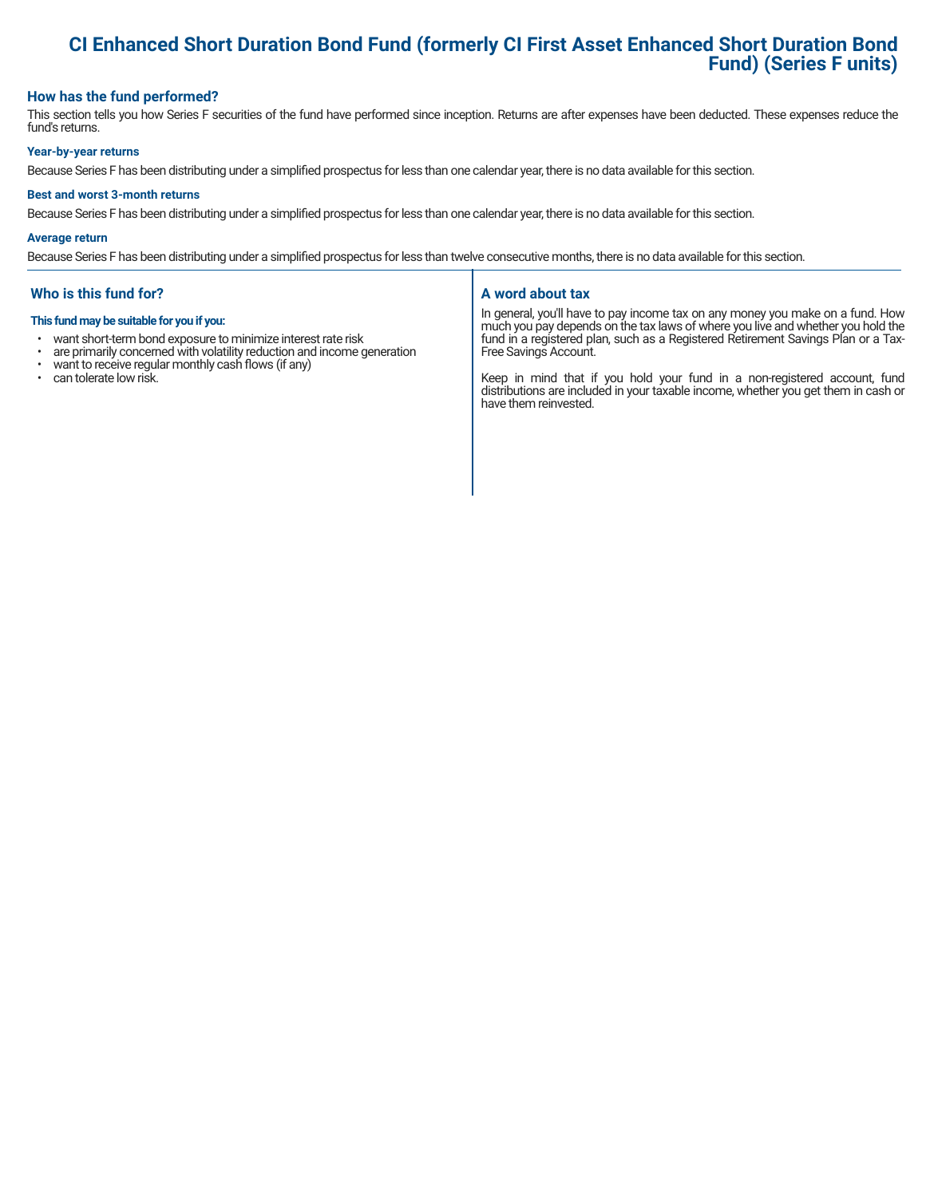# **CI Enhanced Short Duration Bond Fund (formerly CI First Asset Enhanced Short Duration Bond Fund) (Series F units)**

#### **How has the fund performed?**

This section tells you how Series F securities of the fund have performed since inception. Returns are after expenses have been deducted. These expenses reduce the fund's returns.

#### **Year-by-year returns**

Because Series F has been distributing under a simplified prospectus for less than one calendar year, there is no data available for this section.

#### **Best and worst 3-month returns**

Because Series F has been distributing under a simplified prospectus for less than one calendar year, there is no data available for this section.

#### **Average return**

Because Series F has been distributing under a simplified prospectus for less than twelve consecutive months, there is no data available for this section.

#### **Who is this fund for?**

#### **This fund may be suitable for you if you:**

- want short-term bond exposure to minimize interest rate risk<br>• are primarily concerned with volatility reduction and income of
- are primarily concerned with volatility reduction and income generation  $\cdot$  want to receive requilar monthly cash flows (if any)
- want to receive regular monthly cash flows (if any)<br>• can tolerate low risk
- can tolerate low risk.

#### **A word about tax**

In general, you'll have to pay income tax on any money you make on a fund. How much you pay depends on the tax laws of where you live and whether you hold the fund in a registered plan, such as a Registered Retirement Savings Plan or a Tax-Free Savings Account.

Keep in mind that if you hold your fund in a non-registered account, fund distributions are included in your taxable income, whether you get them in cash or have them reinvested.